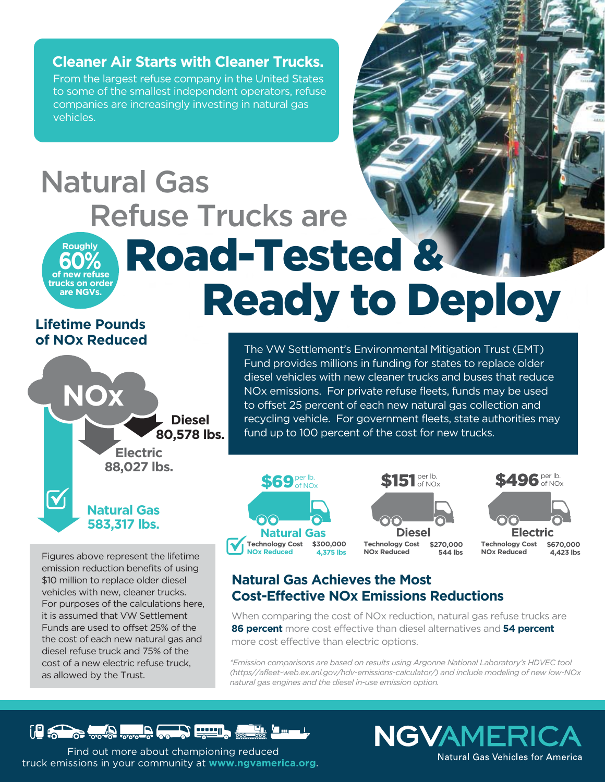**Cleaner Air Starts with Cleaner Trucks.**

From the largest refuse company in the United States to some of the smallest independent operators, refuse companies are increasingly investing in natural gas vehicles.

#### **natural gas refuse and** *recycling trucks* **operate in the U.S.** 17,000 Road-Tested & Ready to Deploy **of new refuse trucks on order are NGVs. Roughly 60%** Natural Gas Refuse Trucks are

# **Lifetime Pounds of NOx Reduced**

**NOx**

 $\bm{\mathsf{M}}$ 

**Diesel 80,578 lbs.**

**Electric 88,027 lbs.**

**Natural Gas 583,317 lbs.**

Figures above represent the lifetime emission reduction benefits of using \$10 million to replace older diesel vehicles with new, cleaner trucks. For purposes of the calculations here, it is assumed that VW Settlement Funds are used to offset 25% of the the cost of each new natural gas and diesel refuse truck and 75% of the cost of a new electric refuse truck, as allowed by the Trust.





The VW Settlement's Environmental Mitigation Trust (EMT) Fund provides millions in funding for states to replace older diesel vehicles with new cleaner trucks and buses that reduce NOx emissions. For private refuse fleets, funds may be used to offset 25 percent of each new natural gas collection and recycling vehicle. For government fleets, state authorities may

> **Technology Cost \$670,000**

#### **NOx Reduced 4,423 lbs**

#### **Natural Gas Achieves the Most Cost-Effective NOx Emissions Reductions**

fund up to 100 percent of the cost for new trucks.

When comparing the cost of NOx reduction, natural gas refuse trucks are **86 percent** more cost effective than diesel alternatives and **54 percent**  more cost effective than electric options.

*\*Emission comparisons are based on results using Argonne National Laboratory's HDVEC tool (https//afleet-web.ex.anl.gov/hdv-emissions-calculator/) and include modeling of new low-NOx natural gas engines and the diesel in-use emission option.* 

**NGVAMERICA** 

Natural Gas Vehicles for America



Find out more about championing reduced truck emissions in your community at **www.ngvamerica.org**.